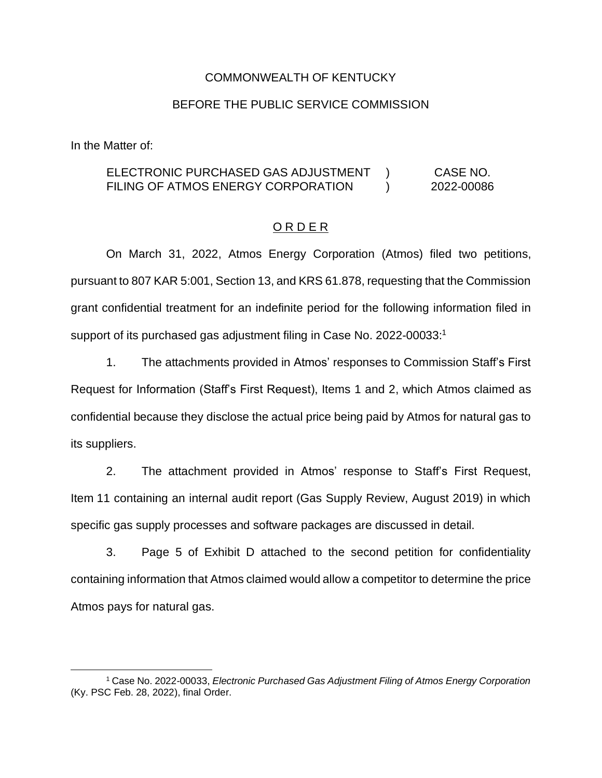# COMMONWEALTH OF KENTUCKY

### BEFORE THE PUBLIC SERVICE COMMISSION

In the Matter of:

#### ELECTRONIC PURCHASED GAS ADJUSTMENT FILING OF ATMOS ENERGY CORPORATION )  $\lambda$ CASE NO. 2022-00086

# O R D E R

On March 31, 2022, Atmos Energy Corporation (Atmos) filed two petitions, pursuant to 807 KAR 5:001, Section 13, and KRS 61.878, requesting that the Commission grant confidential treatment for an indefinite period for the following information filed in support of its purchased gas adjustment filing in Case No. 2022-00033:<sup>1</sup>

1. The attachments provided in Atmos' responses to Commission Staff's First Request for Information (Staff's First Request), Items 1 and 2, which Atmos claimed as confidential because they disclose the actual price being paid by Atmos for natural gas to its suppliers.

2. The attachment provided in Atmos' response to Staff's First Request, Item 11 containing an internal audit report (Gas Supply Review, August 2019) in which specific gas supply processes and software packages are discussed in detail.

3. Page 5 of Exhibit D attached to the second petition for confidentiality containing information that Atmos claimed would allow a competitor to determine the price Atmos pays for natural gas.

<sup>1</sup> Case No. 2022-00033, *Electronic Purchased Gas Adjustment Filing of Atmos Energy Corporation* (Ky. PSC Feb. 28, 2022), final Order.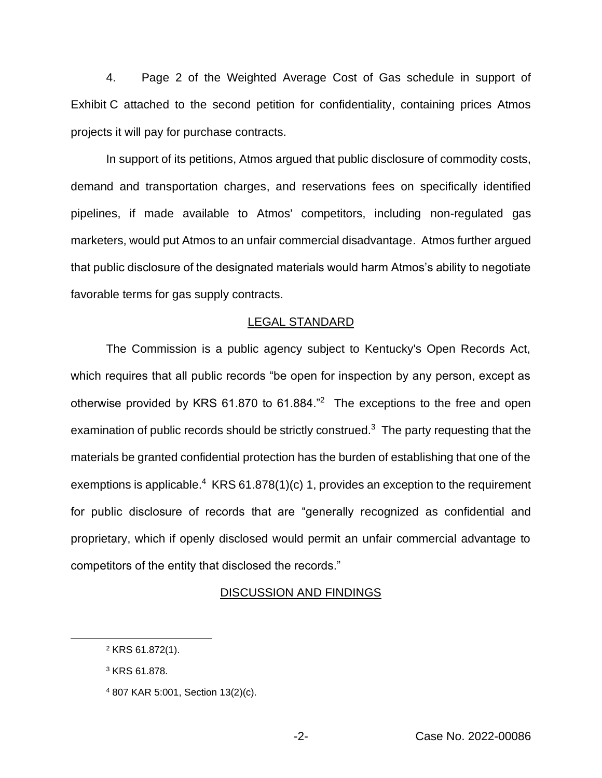4. Page 2 of the Weighted Average Cost of Gas schedule in support of Exhibit C attached to the second petition for confidentiality, containing prices Atmos projects it will pay for purchase contracts.

In support of its petitions, Atmos argued that public disclosure of commodity costs, demand and transportation charges, and reservations fees on specifically identified pipelines, if made available to Atmos' competitors, including non-regulated gas marketers, would put Atmos to an unfair commercial disadvantage. Atmos further argued that public disclosure of the designated materials would harm Atmos's ability to negotiate favorable terms for gas supply contracts.

#### LEGAL STANDARD

The Commission is a public agency subject to Kentucky's Open Records Act, which requires that all public records "be open for inspection by any person, except as otherwise provided by KRS  $61.870$  to  $61.884."$ <sup>2</sup> The exceptions to the free and open examination of public records should be strictly construed.<sup>3</sup> The party requesting that the materials be granted confidential protection has the burden of establishing that one of the exemptions is applicable.<sup>4</sup> KRS  $61.878(1)(c)$  1, provides an exception to the requirement for public disclosure of records that are "generally recognized as confidential and proprietary, which if openly disclosed would permit an unfair commercial advantage to competitors of the entity that disclosed the records."

#### DISCUSSION AND FINDINGS

<sup>2</sup> KRS 61.872(1).

<sup>3</sup> KRS 61.878.

<sup>4</sup> 807 KAR 5:001, Section 13(2)(c).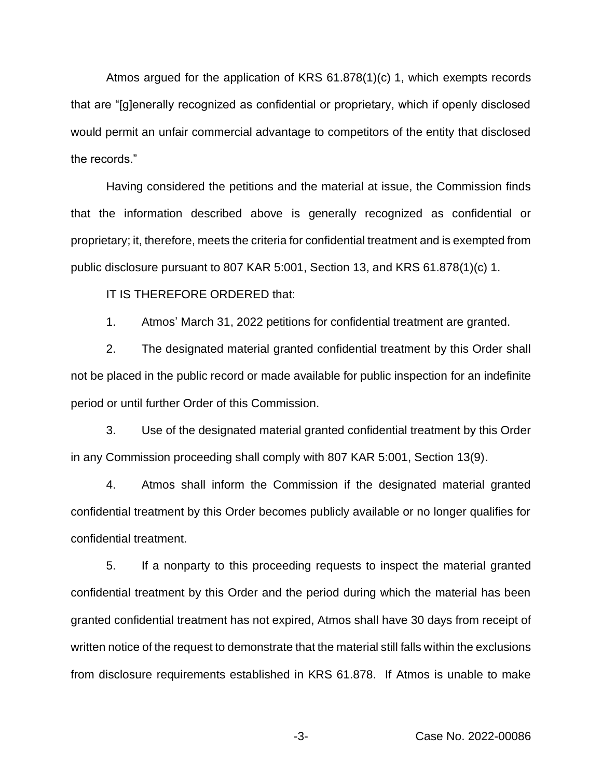Atmos argued for the application of KRS 61.878(1)(c) 1, which exempts records that are "[g]enerally recognized as confidential or proprietary, which if openly disclosed would permit an unfair commercial advantage to competitors of the entity that disclosed the records."

Having considered the petitions and the material at issue, the Commission finds that the information described above is generally recognized as confidential or proprietary; it, therefore, meets the criteria for confidential treatment and is exempted from public disclosure pursuant to 807 KAR 5:001, Section 13, and KRS 61.878(1)(c) 1.

IT IS THEREFORE ORDERED that:

1. Atmos' March 31, 2022 petitions for confidential treatment are granted.

2. The designated material granted confidential treatment by this Order shall not be placed in the public record or made available for public inspection for an indefinite period or until further Order of this Commission.

3. Use of the designated material granted confidential treatment by this Order in any Commission proceeding shall comply with 807 KAR 5:001, Section 13(9).

4. Atmos shall inform the Commission if the designated material granted confidential treatment by this Order becomes publicly available or no longer qualifies for confidential treatment.

5. If a nonparty to this proceeding requests to inspect the material granted confidential treatment by this Order and the period during which the material has been granted confidential treatment has not expired, Atmos shall have 30 days from receipt of written notice of the request to demonstrate that the material still falls within the exclusions from disclosure requirements established in KRS 61.878. If Atmos is unable to make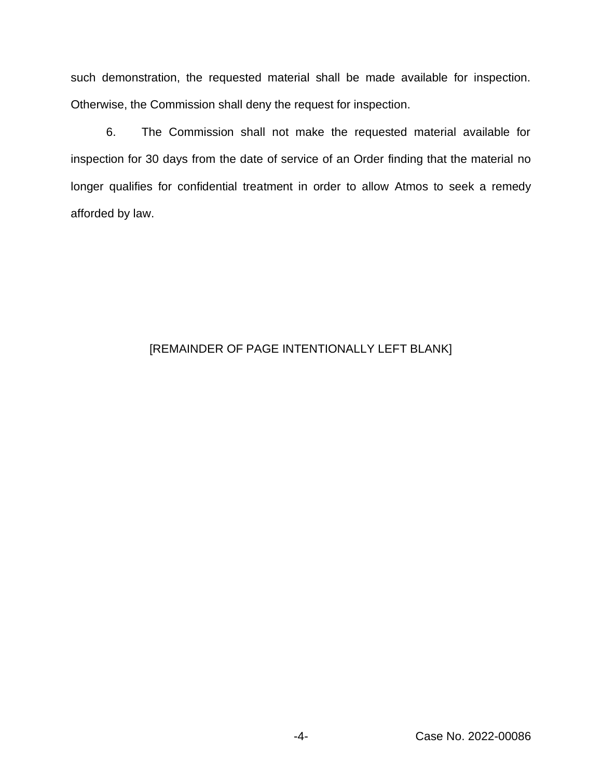such demonstration, the requested material shall be made available for inspection. Otherwise, the Commission shall deny the request for inspection.

6. The Commission shall not make the requested material available for inspection for 30 days from the date of service of an Order finding that the material no longer qualifies for confidential treatment in order to allow Atmos to seek a remedy afforded by law.

# [REMAINDER OF PAGE INTENTIONALLY LEFT BLANK]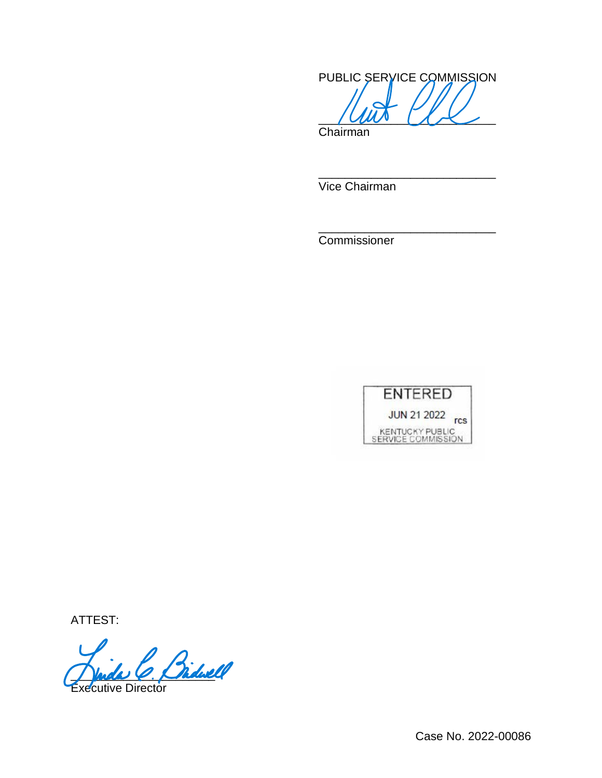PUBLIC SERVICE COMMISSION  $\sim$   $\sim$   $\sim$ 

\_\_\_\_\_\_\_\_\_\_\_\_\_\_\_\_\_\_\_\_\_\_\_\_\_\_\_

\_\_\_\_\_\_\_\_\_\_\_\_\_\_\_\_\_\_\_\_\_\_\_\_\_\_\_

Chairman

Vice Chairman

Commissioner



ATTEST:

Myde C. Chdwl Executive Director

Case No. 2022-00086